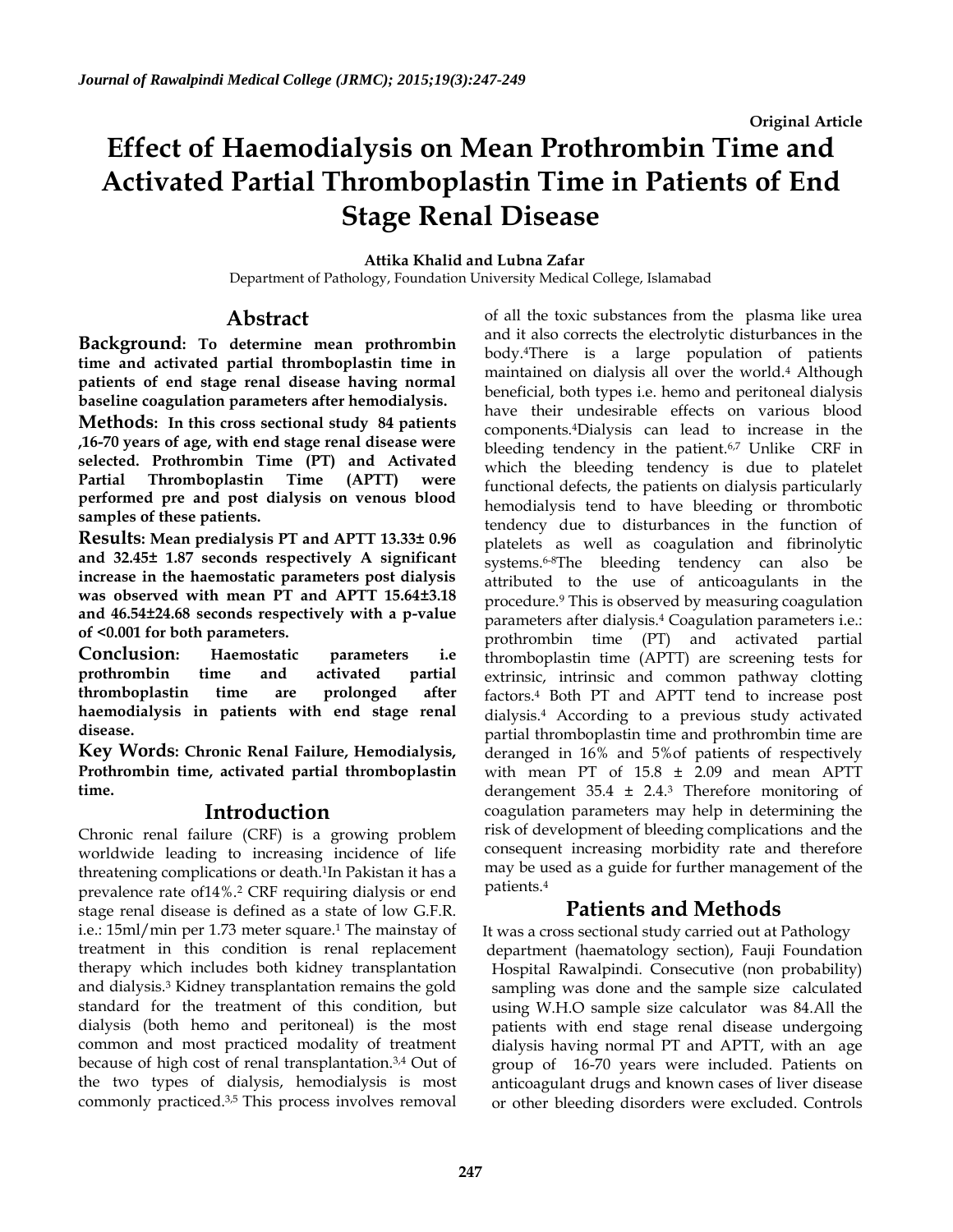# **Effect of Haemodialysis on Mean Prothrombin Time and Activated Partial Thromboplastin Time in Patients of End Stage Renal Disease**

#### **Attika Khalid and Lubna Zafar**

Department of Pathology, Foundation University Medical College, Islamabad

# **Abstract**

**Background: To determine mean prothrombin time and activated partial thromboplastin time in patients of end stage renal disease having normal baseline coagulation parameters after hemodialysis.**

**Methods: In this cross sectional study 84 patients ,16-70 years of age, with end stage renal disease were selected. Prothrombin Time (PT) and Activated Partial Thromboplastin Time (APTT) were performed pre and post dialysis on venous blood samples of these patients.**

**Results: Mean predialysis PT and APTT 13.33± 0.96 and 32.45± 1.87 seconds respectively A significant increase in the haemostatic parameters post dialysis was observed with mean PT and APTT 15.64±3.18 and 46.54±24.68 seconds respectively with a p-value of <0.001 for both parameters.**

**Conclusion: Haemostatic parameters i.e prothrombin time and activated partial thromboplastin time are prolonged after haemodialysis in patients with end stage renal disease.**

**Key Words: Chronic Renal Failure, Hemodialysis, Prothrombin time, activated partial thromboplastin time.**

# **Introduction**

Chronic renal failure (CRF) is a growing problem worldwide leading to increasing incidence of life threatening complications or death.<sup>1</sup> In Pakistan it has a prevalence rate of14%.<sup>2</sup> CRF requiring dialysis or end stage renal disease is defined as a state of low G.F.R. i.e.: 15ml/min per 1.73 meter square.<sup>1</sup> The mainstay of treatment in this condition is renal replacement therapy which includes both kidney transplantation and dialysis.<sup>3</sup> Kidney transplantation remains the gold standard for the treatment of this condition, but dialysis (both hemo and peritoneal) is the most common and most practiced modality of treatment because of high cost of renal transplantation.3,4 Out of the two types of dialysis, hemodialysis is most commonly practiced.3,5 This process involves removal

of all the toxic substances from the plasma like urea and it also corrects the electrolytic disturbances in the body.4There is a large population of patients maintained on dialysis all over the world.<sup>4</sup> Although beneficial, both types i.e. hemo and peritoneal dialysis have their undesirable effects on various blood components.4Dialysis can lead to increase in the bleeding tendency in the patient.<sup>6,7</sup> Unlike CRF in which the bleeding tendency is due to platelet functional defects, the patients on dialysis particularly hemodialysis tend to have bleeding or thrombotic tendency due to disturbances in the function of platelets as well as coagulation and fibrinolytic systems.6-8The bleeding tendency can also be attributed to the use of anticoagulants in the procedure.<sup>9</sup> This is observed by measuring coagulation parameters after dialysis.<sup>4</sup> Coagulation parameters i.e.: prothrombin time (PT) and activated partial thromboplastin time (APTT) are screening tests for extrinsic, intrinsic and common pathway clotting factors.<sup>4</sup> Both PT and APTT tend to increase post dialysis.<sup>4</sup> According to a previous study activated partial thromboplastin time and prothrombin time are deranged in 16% and 5%of patients of respectively with mean PT of  $15.8 \pm 2.09$  and mean APTT derangement  $35.4 \pm 2.4$ .<sup>3</sup> Therefore monitoring of coagulation parameters may help in determining the risk of development of bleeding complications and the consequent increasing morbidity rate and therefore may be used as a guide for further management of the patients.<sup>4</sup>

# **Patients and Methods**

 It was a cross sectional study carried out at Pathology department (haematology section), Fauji Foundation Hospital Rawalpindi. Consecutive (non probability) sampling was done and the sample size calculated using W.H.O sample size calculator was 84.All the patients with end stage renal disease undergoing dialysis having normal PT and APTT, with an age group of 16-70 years were included. Patients on anticoagulant drugs and known cases of liver disease or other bleeding disorders were excluded. Controls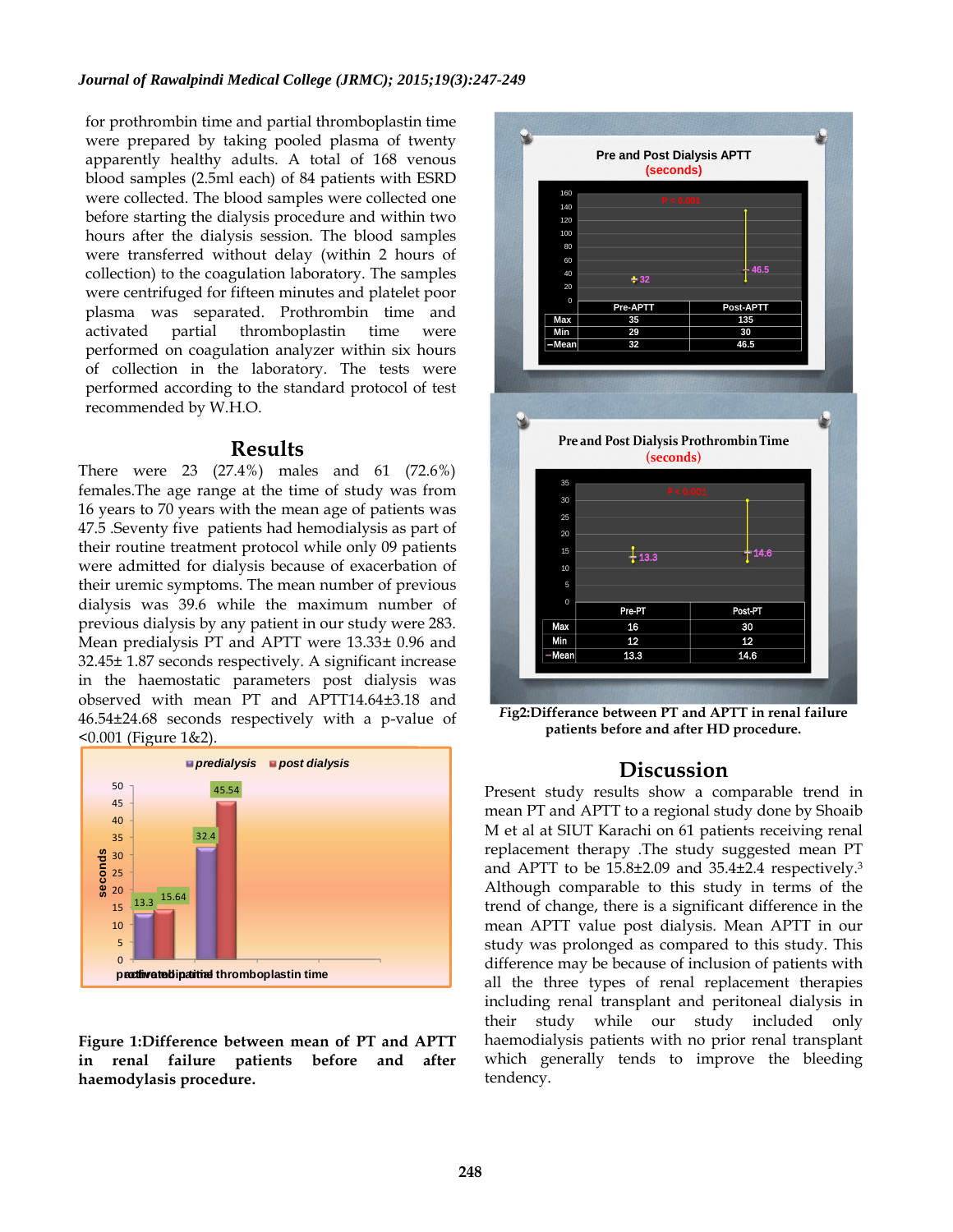for prothrombin time and partial thromboplastin time were prepared by taking pooled plasma of twenty apparently healthy adults. A total of 168 venous blood samples (2.5ml each) of 84 patients with ESRD were collected. The blood samples were collected one before starting the dialysis procedure and within two hours after the dialysis session. The blood samples were transferred without delay (within 2 hours of collection) to the coagulation laboratory. The samples were centrifuged for fifteen minutes and platelet poor plasma was separated. Prothrombin time and activated partial thromboplastin time were performed on coagulation analyzer within six hours of collection in the laboratory. The tests were performed according to the standard protocol of test recommended by W.H.O.

### **Results**

There were 23 (27.4%) males and 61 (72.6%) females.The age range at the time of study was from 16 years to 70 years with the mean age of patients was 47.5 .Seventy five patients had hemodialysis as part of their routine treatment protocol while only 09 patients were admitted for dialysis because of exacerbation of their uremic symptoms. The mean number of previous dialysis was 39.6 while the maximum number of previous dialysis by any patient in our study were 283. Mean predialysis PT and APTT were 13.33± 0.96 and 32.45± 1.87 seconds respectively. A significant increase in the haemostatic parameters post dialysis was observed with mean PT and APTT14.64±3.18 and 46.54±24.68 seconds respectively with a p-value of <0.001 (Figure 1&2).



**Figure 1:Difference between mean of PT and APTT in renal failure patients before and after haemodylasis procedure.**



*F***ig2:Differance between PT and APTT in renal failure patients before and after HD procedure.**

# **Discussion**

Present study results show a comparable trend in mean PT and APTT to a regional study done by Shoaib M et al at SIUT Karachi on 61 patients receiving renal replacement therapy .The study suggested mean PT and APTT to be 15.8±2.09 and 35.4±2.4 respectively.<sup>3</sup> Although comparable to this study in terms of the trend of change, there is a significant difference in the mean APTT value post dialysis. Mean APTT in our study was prolonged as compared to this study. This difference may be because of inclusion of patients with all the three types of renal replacement therapies including renal transplant and peritoneal dialysis in their study while our study included only haemodialysis patients with no prior renal transplant which generally tends to improve the bleeding tendency.